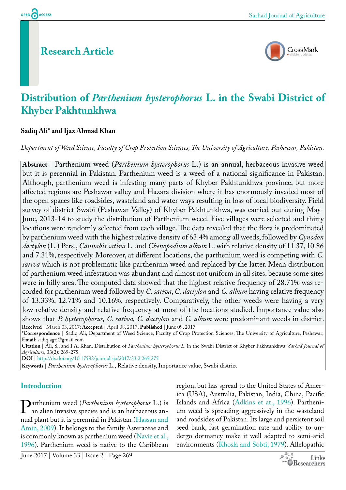# **Research Article**



# **Distribution of** *Parthenium hysterophorus* **L. in the Swabi District of Khyber Pakhtunkhwa**

### **Sadiq Ali\* and Ijaz Ahmad Khan**

*Department of Weed Science, Faculty of Crop Protection Sciences, The University of Agriculture, Peshawar, Pakistan.*

**Abstract** | Parthenium weed (*Parthenium hysterophorus* L.) is an annual, herbaceous invasive weed but it is perennial in Pakistan. Parthenium weed is a weed of a national significance in Pakistan. Although, parthenium weed is infesting many parts of Khyber Pakhtunkhwa province, but more affected regions are Peshawar valley and Hazara division where it has enormously invaded most of the open spaces like roadsides, wasteland and water ways resulting in loss of local biodiversity. Field survey of district Swabi (Peshawar Valley) of Khyber Pakhtunkhwa, was carried out during May-June, 2013-14 to study the distribution of Parthenium weed. Five villages were selected and thirty locations were randomly selected from each village. The data revealed that the flora is predominated by parthenium weed with the highest relative density of 63.4% among all weeds, followed by *Cynodon dactylon* (L.) Pers., *Cannabis sativa* L. and *Chenopodium album* L. with relative density of 11.37, 10.86 and 7.31%, respectively. Moreover, at different locations, the parthenium weed is competing with *C. sativa* which is not problematic like parthenium weed and replaced by the latter. Mean distribution of parthenium weed infestation was abundant and almost not uniform in all sites, because some sites were in hilly area. The computed data showed that the highest relative frequency of 28.71% was recorded for parthenium weed followed by *C. sativa*, *C. dactylon* and *C. album* having relative frequency of 13.33%, 12.71% and 10.16%, respectively. Comparatively, the other weeds were having a very low relative density and relative frequency at most of the locations studied. Importance value also shows that *P. hysterophorus, C. sativa, C. dactylon* and *C. album* were predominant weeds in district. **Received** | March 03, 2017; **Accepted** | April 08, 2017; **Published** | June 09, 2017

**\*Correspondence** | Sadiq Ali, Department of Weed Science, Faculty of Crop Protection Sciences, The University of Agriculture, Peshawar; **Email:** sadiq.agri@gmail.com

**Citation** | Ali, S., and I.A. Khan. Distribution of *Parthenium hysterophorus L*. in the Swabi District of Khyber Pakhtunkhwa. *Sarhad Journal of Agriculture,* 33(2): 269-275.

**DOI** | <http://dx.doi.org/10.17582/journal.sja/2017/33.2.269.275>

**Keywords** | *Parthenium hysterophorus* L., Relative density, Importance value, Swabi district

## **Introduction**

**Parthenium weed (***Parthenium hysterophorus* **L.) is**<br>an alien invasive species and is an herbaceous an-<br>nual plant but it is perennial in Pakistan (Hassan and an alien invasive species and is an herbaceous annual plant but it is perennial in Pakistan [\(Hassan and](#page-5-0)  [Amin, 2009\)](#page-5-0). It belongs to the family Asteraceae and is commonly known as parthenium weed ([Navie et al.,](#page-6-0)  [1996](#page-6-0)). Parthenium weed is native to the Caribbean

region, but has spread to the United States of America (USA), Australia, Pakistan, India, China, Pacific Islands and Africa [\(Adkins et at., 1996\)](#page-5-1). Parthenium weed is spreading aggressively in the wasteland and roadsides of Pakistan. Its large and persistent soil seed bank, fast germination rate and ability to undergo dormancy make it well adapted to semi-arid environments [\(Khosla and Sobti, 1979](#page-6-1)). Allelopathic

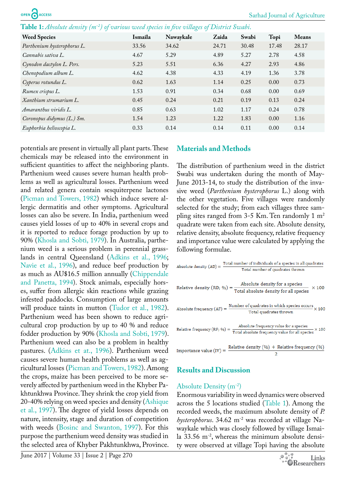<span id="page-1-0"></span>**Table 1:** *Absolute density (m-2) of various weed species in five villages of District Swabi*.

| <b>Weed Species</b>         | Ismaila | Nawaykale | Zaida | Swabi | Topi  | <b>Means</b> |
|-----------------------------|---------|-----------|-------|-------|-------|--------------|
| Parthenium hysterophorus L. | 33.56   | 34.62     | 24.71 | 30.48 | 17.48 | 28.17        |
| Cannabis sativa L.          | 4.67    | 5.29      | 4.89  | 5.27  | 2.78  | 4.58         |
| Cynodon dactylon L. Pers.   | 5.23    | 5.51      | 6.36  | 4.27  | 2.93  | 4.86         |
| Chenopodium album L.        | 4.62    | 4.38      | 4.33  | 4.19  | 1.36  | 3.78         |
| Cyperus rotundus L.         | 0.62    | 1.63      | 1.14  | 0.25  | 0.00  | 0.73         |
| Rumex crispus L.            | 1.53    | 0.91      | 0.34  | 0.68  | 0.00  | 0.69         |
| Xanthium strumarium L.      | 0.45    | 0.24      | 0.21  | 0.19  | 0.13  | 0.24         |
| Amaranthus viridis L.       | 0.85    | 0.63      | 1.02  | 1.17  | 0.24  | 0.78         |
| Coronopus didymus (L.) Sm.  | 1.54    | 1.23      | 1.22  | 1.83  | 0.00  | 1.16         |
| Euphorbia helioscopia L.    | 0.33    | 0.14      | 0.14  | 0.11  | 0.00  | 0.14         |

potentials are present in virtually all plant parts. These chemicals may be released into the environment in sufficient quantities to affect the neighboring plants. Parthenium weed causes severe human health problems as well as agricultural losses. Parthenium weed and related genera contain sesquiterpene lactones [\(Picman and Towers, 1982](#page-6-2)) which induce severe allergic dermatitis and other symptoms. Agricultural losses can also be severe. In India, parthenium weed causes yield losses of up to 40% in several crops and it is reported to reduce forage production by up to 90% [\(Khosla and Sobti, 1979](#page-6-1)). In Australia, parthenium weed is a serious problem in perennial grasslands in central Queensland [\(Adkins et al., 1996](#page-5-1); [Navie et al., 1996](#page-6-0)), and reduce beef production by as much as AU\$16.5 million annually ([Chippendale](#page-5-2)  [and Panetta, 1994\)](#page-5-2). Stock animals, especially horses, suffer from allergic skin reactions while grazing infested paddocks. Consumption of large amounts will produce taints in mutton ([Tudor et al., 1982\)](#page-6-3). Parthenium weed has been shown to reduce agricultural crop production by up to 40 % and reduce fodder production by 90% ([Khosla and Sobti, 1979\)](#page-6-1). Parthenium weed can also be a problem in healthy pastures. [\(Adkins et at., 1996](#page-5-1)). Parthenium weed causes severe human health problems as well as agricultural losses [\(Picman and Towers, 1982](#page-6-2)). Among the crops, maize has been perceived to be more severely affected by parthenium weed in the Khyber Pakhtunkhwa Province. They shrink the crop yield from 20-40% relying on weed species and density ([Ashique](#page-5-3)  [et al., 1997\)](#page-5-3). The degree of yield losses depends on nature, intensity, stage and duration of competition with weeds [\(Bosinc and Swanton, 1997](#page-5-4)). For this purpose the parthenium weed density was studied in the selected area of Khyber Pakhtunkhwa, Province.

#### **Materials and Methods**

The distribution of parthenium weed in the district Swabi was undertaken during the month of May-June 2013-14, to study the distribution of the invasive weed (*Parthenium hysterophorus* L.) along with the other vegetation. Five villages were randomly selected for the study; from each villages three sampling sites ranged from 3-5 Km. Ten randomly 1  $m<sup>2</sup>$ quadrate were taken from each site. Absolute density, relative density, absolute frequency, relative frequency and importance value were calculated by applying the following formulae.

| $\text{Absolute density (AD)} = \frac{\text{Total number of individuals of a species in all quadrates}}{\text{Total number of quadrates thrown}}$     |  |  |  |  |  |  |  |
|-------------------------------------------------------------------------------------------------------------------------------------------------------|--|--|--|--|--|--|--|
|                                                                                                                                                       |  |  |  |  |  |  |  |
| Relative density (RD; $\%$ ) = $\frac{\text{Absolute density for a species}}{\text{Total absolute density for all species}} \times 100$               |  |  |  |  |  |  |  |
| Absolute frequency (AF) = $\frac{\text{Number of quadrates in which species occurs}}{\text{Total quadrates thrown}} \times 100$                       |  |  |  |  |  |  |  |
| Relative frequency (RF; %) = $\frac{\text{Absolute frequency value for a species}}{\text{Total absolute frequency value for all species}} \times 100$ |  |  |  |  |  |  |  |
| Importance value (IV) = $\frac{\text{Relative density } (\%) + \text{Relative frequency } (\%)}{2}$                                                   |  |  |  |  |  |  |  |

#### **Results and Discussion**

#### Absolute Density (m-2)

Enormous variability in weed dynamics were observed across the 5 locations studied ([Table 1](#page-1-0)). Among the recorded weeds, the maximum absolute density of *P. hysterophorus*. 34.62 m-2 was recorded at village Nawaykale which was closely followed by village Ismaila 33.56 m<sup>-2</sup>, whereas the minimum absolute density were observed at village Topi having the absolute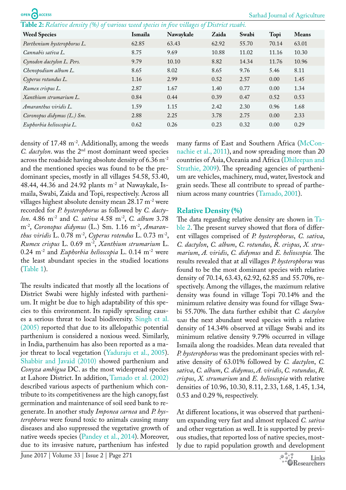**ACCESS** 

<span id="page-2-0"></span>**Table 2:** *Relative density (%) of various weed species in five villages of District swabi.*

| <b>Weed Species</b>         | Ismaila | Nawaykale | Zaida | Swabi | Topi  | <b>Means</b> |
|-----------------------------|---------|-----------|-------|-------|-------|--------------|
| Parthenium hysterophorus L. | 62.85   | 63.43     | 62.92 | 55.70 | 70.14 | 63.01        |
| Cannabis sativa L.          | 8.75    | 9.69      | 10.88 | 11.02 | 11.16 | 10.30        |
| Cynodon dactylon L. Pers.   | 9.79    | 10.10     | 8.82  | 14.34 | 11.76 | 10.96        |
| Chenopodium album L.        | 8.65    | 8.02      | 8.65  | 9.76  | 5.46  | 8.11         |
| Cyperus rotundus L.         | 1.16    | 2.99      | 0.52  | 2.57  | 0.00  | 1.45         |
| Rumex crispus L.            | 2.87    | 1.67      | 1.40  | 0.77  | 0.00  | 1.34         |
| Xanthium strumarium L.      | 0.84    | 0.44      | 0.39  | 0.47  | 0.52  | 0.53         |
| Amaranthus viridis L.       | 1.59    | 1.15      | 2.42  | 2.30  | 0.96  | 1.68         |
| Coronopus didymus (L.) Sm.  | 2.88    | 2.25      | 3.78  | 2.75  | 0.00  | 2.33         |
| Euphorbia helioscopia L.    | 0.62    | 0.26      | 0.23  | 0.32  | 0.00  | 0.29         |

density of 17.48 m<sup>-2</sup>. Additionally, among the weeds *C. dactylon*. was the 2<sup>nd</sup> most dominant weed species across the roadside having absolute density of 6.36 m-2 and the mentioned species was found to be the predominant species, mostly in all villages 54.58, 53.40, 48.44, 44.36 and 24.92 plants  $m<sup>-2</sup>$  at Nawaykale, Ismaila, Swabi, Zaida and Topi, respectively. Across all villages highest absolute density mean 28.17 m-2 were recorded for *P. hysterophorus* as followed by *C. dactylon*. 4.86 m-2 and *C. sativa* 4.58 m-2, *C. album* 3.78 m-2, *Coronopus didymus* (L.) Sm. 1.16 m-2, *Amaranthus viridis* L. 0.78 m<sup>-2</sup>, *Cyperus rotendus* L. 0.73 m<sup>-2</sup>, *Rumex crispus* L. 0.69 m-2, *Xanthium strumarium* L. 0.24 m-2 and *Euphorbia helioscopia* L. 0.14 m-2 were the least abundant species in the studied locations ([Table 1](#page-1-0)).

The results indicated that mostly all the locations of District Swabi were highly infested with parthenium. It might be due to high adaptability of this species to this environment. Its rapidly spreading causes a serious threat to local biodiversity. [Singh et al.](#page-6-4)  [\(2005\)](#page-6-4) reported that due to its allelopathic potential parthenium is considered a noxious weed. Similarly, in India, parthenuim has also been reported as a major threat to local vegetation ([Yaduraju et al., 2005\)](#page-6-5). [Shabbir and Javaid \(2010\)](#page-6-6) showed parthenium and *Conyza ambigua* DC. as the most widespread species at Lahore District. In addition, [Tamado et al. \(2002\)](#page-6-7)  described various aspects of parthenium which contribute to its competitiveness are the high canopy, fast germination and maintenance of soil seed bank to regenerate. In another study *Imponea carnea* and *P. hysterophorus* were found toxic to animals causing many diseases and also suppressed the vegetative growth of native weeds species [\(Pandey et al., 2014\)](#page-6-8). Moreover, due to its invasive nature, parthenium has infested

many farms of East and Southern Africa ([McCon](#page-6-9)[nachie et al., 2011\)](#page-6-9), and now spreading more than 20 countries of Asia, Oceania and Africa [\(Dhileepan and](#page-5-5)  [Strathie, 2009\)](#page-5-5). The spreading agencies of parthenium are vehicles, machinery, mud, water, livestock and grain seeds. These all contribute to spread of parthenium across many countries ([Tamado, 2001](#page-6-10)).

### **Relative Density (%)**

The data regarding relative density are shown in [Ta](#page-2-0)[ble 2.](#page-2-0) The present survey showed that flora of different villages comprised of *P. hysterophorus*, *C. sativa*, *C. dactylon*, *C. album*, *C. rotundus*, *R. crispus*, *X. strumarium*, *A. viridis*, *C. didymus* and *E. helioscopia.* The results revealed that at all villages *P. hysterophorus* was found to be the most dominant species with relative density of 70.14, 63.43, 62.92, 62.85 and 55.70%, respectively. Among the villages, the maximum relative density was found in village Topi 70.14% and the minimum relative density was found for village Swabi 55.70%. The data further exhibit that *C. dactylon was* the next abundant weed species with a relative density of 14.34% observed at village Swabi and its minimum relative density 9.79% occurred in village Ismaila along the roadsides. Mean data revealed that *P. hysterophorus* was the predominant species with relative density of 63.01% followed by *C. dactylon*, *C. sativa*, *C. album*, *C. didymus*, *A. viridis*, *C. rotundus*, *R. crispus*, *X. strumarium* and *E. helioscopia* with relative densities of 10.96, 10.30, 8.11, 2.33, 1.68, 1.45, 1.34, 0.53 and 0.29 %, respectively.

At different locations, it was observed that parthenium expanding very fast and almost replaced *C. sativa*  and other vegetation as well. It is supported by previous studies, that reported loss of native species, mostly due to rapid population growth and development

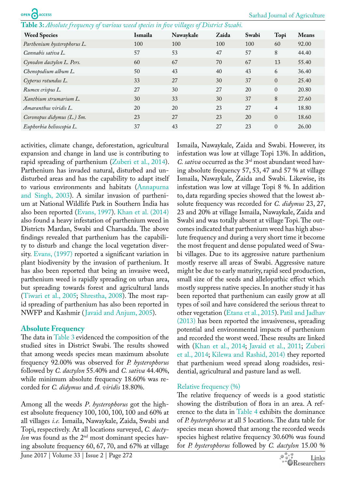OPEN CACCESS

<span id="page-3-0"></span>**Table 3:** *Absolute frequency of various weed species in five villages of District Swabi.*

| <b>Weed Species</b>         | Ismaila | Nawaykale | Zaida | Swabi | Topi           | <b>Means</b> |
|-----------------------------|---------|-----------|-------|-------|----------------|--------------|
| Parthenium hysterophorus L. | 100     | 100       | 100   | 100   | 60             | 92.00        |
| Cannabis sativa L.          | 57      | 53        | 47    | 57    | 8              | 44.40        |
| Cynodon dactylon L. Pers.   | 60      | 67        | 70    | 67    | 13             | 55.40        |
| Chenopodium album L.        | 50      | 43        | 40    | 43    | 6              | 36.40        |
| Cyperus rotundus L.         | 33      | 27        | 30    | 37    | $\Omega$       | 25.40        |
| Rumex crispus L.            | 27      | 30        | 27    | 20    | $\Omega$       | 20.80        |
| Xanthium strumarium L.      | 30      | 33        | 30    | 37    | 8              | 27.60        |
| Amaranthus viridis L.       | 20      | 20        | 23    | 27    | $\overline{4}$ | 18.80        |
| Coronopus didymus (L.) Sm.  | 23      | 27        | 23    | 20    | $\Omega$       | 18.60        |
| Euphorbia helioscopia L.    | 37      | 43        | 27    | 23    | $\Omega$       | 26.00        |

activities, climate change, deforestation, agricultural expansion and change in land use is contributing to rapid spreading of parthenium ([Zuberi et al., 2014](#page-6-11)). Parthenium has invaded natural, disturbed and undisturbed areas and has the capability to adapt itself to various environments and habitats ([Annapurna](#page-5-6)  [and Singh, 2003\)](#page-5-6). A similar invasion of parthenium at National Wildlife Park in Southern India has also been reported ([Evans, 1997\)](#page-5-7). [Khan et al. \(2014\)](#page-6-12)  also found a heavy infestation of parthenium weed in Districts Mardan, Swabi and Charsadda. The above findings revealed that parthenium has the capability to disturb and change the local vegetation diversity. [Evans, \(1997\)](#page-5-7) reported a significant variation in plant biodiversity by the invasion of parthenium. It has also been reported that being an invasive weed, parthenium weed is rapidly spreading on urban area, but spreading towards forest and agricultural lands ([Tiwari et al., 2005](#page-6-13); [Shrestha, 2008\)](#page-6-14). The most rapid spreading of parthenium has also been reported in NWFP and Kashmir ([Javaid and Anjum, 2005](#page-6-15)).

#### **Absolute Frequency**

The data in [Table 3](#page-3-0) evidenced the composition of the studied sites in District Swabi. The results showed that among weeds species mean maximum absolute frequency 92.00% was observed for *P. hysterophorus* followed by *C. dactylon* 55.40% and *C. sativa* 44.40%, while minimum absolute frequency 18.60% was recorded for *C. didymus* and *A. viridis* 18.80%.

Among all the weeds *P*. *hysterophorus* got the highest absolute frequency 100, 100, 100, 100 and 60% at all villages *i.e.* Ismaila, Nawaykale, Zaida, Swabi and Topi, respectively. At all locations surveyed, *C. dactylon* was found as the  $2<sup>nd</sup>$  most dominant species having absolute frequency 60, 67, 70, and 67% at village

Ismaila, Nawaykale, Zaida and Swabi. However, its infestation was low at village Topi 13%. In addition, *C. sativa* occurred as the 3rd most abundant weed having absolute frequency 57, 53, 47 and 57 % at village Ismaila, Nawaykale, Zaida and Swabi. Likewise, its infestation was low at village Topi 8 %. In addition to, data regarding species showed that the lowest absolute frequency was recorded for *C. didymus* 23, 27, 23 and 20% at village Ismaila, Nawaykale, Zaida and Swabi and was totally absent at village Topi. The outcomes indicated that parthenium weed has high absolute frequency and during a very short time it become the most frequent and dense populated weed of Swabi villages. Due to its aggressive nature parthenium mostly reserve all areas of Swabi. Aggressive nature might be due to early maturity, rapid seed production, small size of the seeds and allelopathic effect which mostly suppress native species. In another study it has been reported that parthenium can easily grow at all types of soil and have considered the serious threat to other vegetation [\(Etana et al., 2015\)](#page-5-8). [Patil and Jadhav](#page-6-16) [\(2013\)](#page-6-16) has been reported the invasiveness, spreading potential and environmental impacts of parthenium and recorded the worst weed. These results are linked with [\(Khan et al., 2014](#page-6-12); [Javaid et al., 2011;](#page-6-17) [Zuberi](#page-6-11) [et al., 2014](#page-6-11); [Kilewa and Rashid, 2014\)](#page-6-18) they reported that parthenium weed spread along roadsides, residential, agricultural and pasture land as well.

### Relative frequency (%)

The relative frequency of weeds is a good statistic showing the distribution of flora in an area. A reference to the data in [Table 4](#page-4-0) exhibits the dominance of *P. hysterophorus* at all 5 locations. The data table for species mean showed that among the recorded weeds species highest relative frequency 30.60% was found for *P. hysterophorus* followed by *C. dactylon* 15.00 %

June 2017 | Volume 33 | Issue 2 | Page 272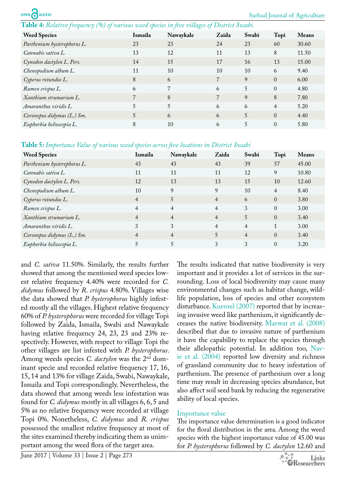<span id="page-4-0"></span>**Table 4:** *Relative frequency (%) of various weed species in five villages of District Swabi.*

| <b>Weed Species</b>         | Ismaila | Nawaykale | Zaida | Swabi | Topi           | <b>Means</b> |
|-----------------------------|---------|-----------|-------|-------|----------------|--------------|
| Parthenium hysterophorus L. | 23      | 23        | 24    | 23    | 60             | 30.60        |
| Cannabis sativa L.          | 13      | 12        | 11    | 13    | 8              | 11.50        |
| Cynodon dactylon L. Pers.   | 14      | 15        | 17    | 16    | 13             | 15.00        |
| Chenopodium album L.        | 11      | 10        | 10    | 10    | 6              | 9.40         |
| Cyperus rotundus L.         | 8       | 6         | 7     | 9     | $\theta$       | 6.00         |
| Rumex crispus L.            | 6       | 7         | 6     | 5     | $\Omega$       | 4.80         |
| Xanthium strumarium L.      |         | 8         | 7     | 9     | 8              | 7.80         |
| Amaranthus viridis L.       |         | 5         | 6     | 6     | $\overline{4}$ | 5.20         |
| Coronopus didymus (L.) Sm.  |         | 6         | 6     | 5     | $\Omega$       | 4.40         |
| Euphorbia helioscopia L.    | 8       | 10        | 6     | 5     | $\Omega$       | 5.80         |

<span id="page-4-1"></span>**Table 5:** *Importance Value of various weed species across five locations in District Swabi*

| <b>Weed Species</b>         | Ismaila        | Nawaykale      | Zaida          | Swabi          | Topi           | <b>Means</b> |
|-----------------------------|----------------|----------------|----------------|----------------|----------------|--------------|
| Parthenium hysterophorus L. | 43             | 43             | 43             | 39             | 57             | 45.00        |
| Cannabis sativa L.          | 11             | 11             | 11             | 12             | 9              | 10.80        |
| Cynodon dactylon L. Pers.   | 12             | 13             | 13             | 15             | 10             | 12.60        |
| Chenopodium album L.        | 10             | 9              | 9              | 10             | $\overline{4}$ | 8.40         |
| Cyperus rotundus L.         | $\overline{4}$ |                | $\overline{4}$ | 6              | $\Omega$       | 3.80         |
| Rumex crispus L.            | $\overline{4}$ | 4              | 4              | 3              | $\theta$       | 3.00         |
| Xanthium strumarium L.      | $\overline{4}$ | $\overline{4}$ | $\overline{4}$ | 5              | $\Omega$       | 3.40         |
| Amaranthus viridis L.       | 3              | 3              | $\overline{4}$ | 4              | 1              | 3.00         |
| Coronopus didymus (L.) Sm.  | 4              | $\overline{4}$ | 5              | $\overline{4}$ | $\Omega$       | 3.40         |
| Euphorbia helioscopia L.    |                |                | 3              | 3              | $\theta$       | 3.20         |

and *C. sativa* 11.50%. Similarly, the results further showed that among the mentioned weed species lowest relative frequency 4.40% were recorded for *C. didymus* followed by *R. crispus* 4.80%. Villages wise the data showed that *P. hysterophorus* highly infested mostly all the villages. Highest relative frequency 60% of *P. hysterophorus* were recorded for village Topi followed by Zaida, Ismaila, Swabi and Nawaykale having relative frequency 24, 23, 23 and 23% respectively. However, with respect to village Topi the other villages are list infested with *P. hysterophorus*. Among weeds species *C. dactylon* was the 2nd dominant specie and recorded relative frequency 17, 16, 15, 14 and 13% for village Zaida, Swabi, Nawaykale, Ismaila and Topi correspondingly. Nevertheless, the data showed that among weeds less infestation was found for *C. didymus* mostly in all villages 6, 6, 5 and 5% as no relative frequency were recorded at village Topi 0%. Nonetheless, *C. didymus* and *R. crispus* possessed the smallest relative frequency at most of the sites examined thereby indicating them as unimportant among the weed flora of the target area.

The results indicated that native biodiversity is very important and it provides a lot of services in the surrounding. Loss of local biodiversity may cause many environmental changes such as habitat change, wildlife population, loss of species and other ecosystem disturbance. [Kuensel \(2007\)](#page-6-19) reported that by increasing invasive weed like parthenium, it significantly decreases the native biodiversity. [Marwat et al. \(2008\)](#page-6-20) described that due to invasive nature of parthenium it have the capability to replace the species through their allelopathic potential. In addition too, [Nav](#page-6-21)[ie et al. \(2004\)](#page-6-21) reported low diversity and richness of grassland community due to heavy infestation of parthenium. The presence of parthenium over a long time may result in decreasing species abundance, but also affect soil seed bank by reducing the regenerative ability of local species.

## Importance value

The importance value determination is a good indicator for the floral distribution in the area. Among the weed species with the highest importance value of 45.00 was for *P. hysterophorus* followed by *C. dactylon* 12.60 and

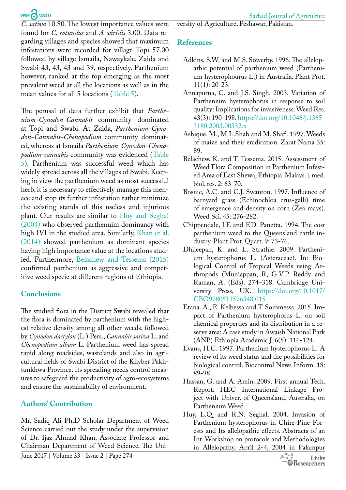# OPEN CACCESS

*C. sativa* 10.80. The lowest importance values were found for *C. rotundus* and *A. viridis* 3.00. Data regarding villages and species showed that maximum infestations were recorded for village Topi 57.00 followed by village Ismaila, Nawaykale, Zaida and Swabi 43, 43, 43 and 39, respectively. Parthenium however, ranked at the top emerging as the most prevalent weed at all the locations as well as in the mean values for all 5 locations ([Table 5](#page-4-1)).

The perusal of data further exhibit that *Parthenium-Cynodon-Cannabis* community dominated at Topi and Swabi. At Zaida, *Parthenium-Cynodon-Cannabis-Chenopodium* community dominated, whereas at Ismaila *Parthenium*-*Cynodon-Chenopodium*-*cannabis* community was evidenced ([Table](#page-4-1)  [5](#page-4-1)). Parthenium was successful weed which has widely spread across all the villages of Swabi. Keeping in view the parthenium weed as most successful herb, it is necessary to effectively manage this menace and stop its further infestation rather minimize the existing stands of this useless and injurious plant. Our results are similar to [Huy and Seghal](#page-5-9)  [\(2004\)](#page-5-9) who observed parthenuim dominancy with high IVI in the studied area. Similarly, [Khan et al.](#page-6-12)  [\(2014\)](#page-6-12) showed parthenium as dominant species having high importance value at the locations studied. Furthermore, [Belachew and Tessema \(2015\)](#page-5-10)  confirmed parthenium as aggressive and competitive weed specie at different regions of Ethiopia.

# **Conclusions**

The studied flora in the District Swabi revealed that the flora is dominated by parthenium with the highest relative density among all other weeds, followed by *Cynodon dactylon* (L.) Pers., *Cannabis sativa* L. and *Chenopodium album* L*.* Parthenium weed has spread rapid along roadsides, wastelands and also in agricultural fields of Swabi District of the Khyber Pakhtunkhwa Province. Its spreading needs control measures to safeguard the productivity of agro-ecosystems and ensure the sustainability of environment.

# **Authors' Contribution**

Mr. Sadiq Ali Ph.D Scholar Department of Weed Science carried out the study under the supervision of Dr. Ijaz Ahmad Khan, Associate Professor and Chairman Department of Weed Science, The University of Agriculture, Peshawar, Pakistan.

# **References**

- <span id="page-5-1"></span>Adkins, S.W. and M.S. Sowerby. 1996. The allelopathic potential of parthenium weed (Parthenium hysterophourus L.) in Australia. Plant Prot. 11(1): 20-23.
- <span id="page-5-6"></span>Annapurna, C. and J.S. Singh. 2003. Variation of Parthenium hysterophorus in response to soil quality: Implications for invasiveness. Weed Res. 43(3): 190-198. [https://doi.org/10.1046/j.1365-](https://doi.org/10.1046/j.1365-3180.2003.00332.x) [3180.2003.00332.x](https://doi.org/10.1046/j.1365-3180.2003.00332.x)
- <span id="page-5-3"></span>Ashique. M., M.L.Shah and M. Shafi. 1997. Weeds of maize and their eradication. Zarat Nama 35: 89.
- <span id="page-5-10"></span>Belachew, K. and T. Tessema. 2015. Assessment of Weed Flora Composition in Parthenium Infested Area of East Shewa, Ethiopia. Malays. j. med. biol. res. 2: 63-70.
- <span id="page-5-4"></span>Bosnic, A.C. and C.J. Swanton. 1997. Influence of barnyard grass (Echinochloa crus-galli) time of emergence and density on corn (Zea mays). Weed Sci. 45: 276-282.
- <span id="page-5-2"></span>Chippendale, J.F. and F.D. Panetta. 1994. The cost parthenium weed to the Queensland cattle industry. Plant Prot. Quart. 9: 73-76.
- <span id="page-5-5"></span>Dhileepan, K. and L. Strathie. 2009. Parthenium hysterophorus L. (Asteraceae). In: Biological Control of Tropical Weeds using Arthropods (Muniappan, R, G.V.P. Reddy and Raman, A. (Eds). 274–318. Cambridge University Press, UK. [https://doi.org/10.1017/](https://doi.org/10.1017/CBO9780511576348.015) [CBO9780511576348.015](https://doi.org/10.1017/CBO9780511576348.015)
- <span id="page-5-8"></span>Etana. A., E. Kelbessa and T. Soromessa. 2015. Impact of Parthenium hysterophorus L. on soil chemical properties and its distribution in a reserve area: A case study in Awaish National Park (ANP) Ethiopia Academic J. 6(5): 116-124.
- <span id="page-5-7"></span>Evans, H.C. 1997. Parthenium hysterophorus L: A review of its weed status and the possibilities for biological control. Biocontrol News Inform. 18: 89-98.
- <span id="page-5-0"></span>Hassan, G. and A. Amin. 2009. First annual Tech. Report. HEC International Linkage Project with Univer. of Queensland, Australia, on Parthenium Weed.
- <span id="page-5-9"></span>Huy, L.Q. and R.N. Seghal. 2004. Invasion of Parthenium hysterophorus in Chire-Pine Forests and Its allelopathic effects. Abstracts of an Int. Workshop on protocols and Methodologies in Allelopathy, April 2-4, 2004 in Palampur